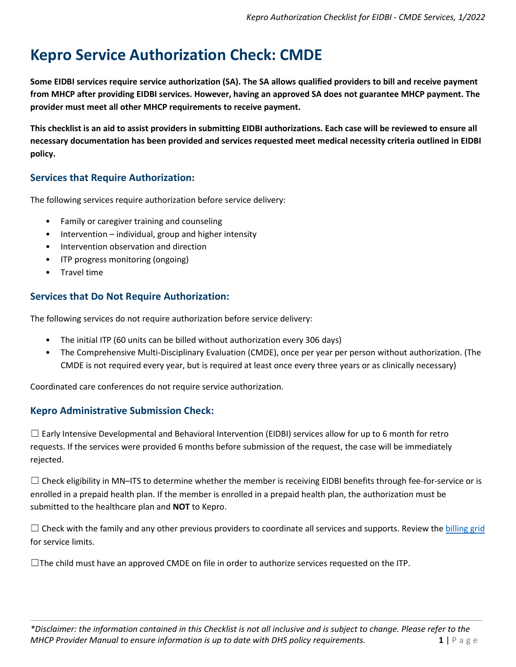# **Kepro Service Authorization Check: CMDE**

**Some EIDBI services require service authorization (SA). The SA allows qualified providers to bill and receive payment from MHCP after providing EIDBI services. However, having an approved SA does not guarantee MHCP payment. The provider must meet all other MHCP requirements to receive payment.** 

**This checklist is an aid to assist providers in submitting EIDBI authorizations. Each case will be reviewed to ensure all necessary documentation has been provided and services requested meet medical necessity criteria outlined in EIDBI policy.** 

# **Services that Require Authorization:**

The following services require authorization before service delivery:

- Family or caregiver training and counseling
- Intervention individual, group and higher intensity
- Intervention observation and direction
- ITP progress monitoring (ongoing)
- Travel time

### **Services that Do Not Require Authorization:**

The following services do not require authorization before service delivery:

- The initial ITP (60 units can be billed without authorization every 306 days)
- The Comprehensive Multi-Disciplinary Evaluation (CMDE), once per year per person without authorization. (The CMDE is not required every year, but is required at least once every three years or as clinically necessary)

Coordinated care conferences do not require service authorization.

### **Kepro Administrative Submission Check:**

 $\Box$  Early Intensive Developmental and Behavioral Intervention (EIDBI) services allow for up to 6 month for retro requests. If the services were provided 6 months before submission of the request, the case will be immediately rejected.

 $\Box$  Check eligibility in MN–ITS to determine whether the member is receiving EIDBI benefits through fee-for-service or is enrolled in a prepaid health plan. If the member is enrolled in a prepaid health plan, the authorization must be submitted to the healthcare plan and **NOT** to Kepro.

 $\Box$  Check with the family and any other previous providers to coordinate all services and supports. Review the [billing grid](https://www.dhs.state.mn.us/main/idcplg?IdcService=GET_FILE&RevisionSelectionMethod=LatestReleased&Rendition=Primary&allowInterrupt=1&noSaveAs=1&dDocName=dhs16_195657) for service limits.

 $\Box$ The child must have an approved CMDE on file in order to authorize services requested on the ITP.